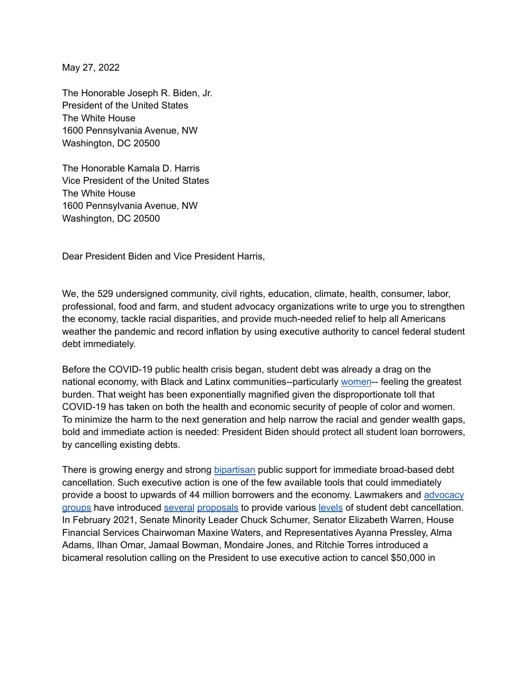May 27, 2022

The Honorable Joseph R. Biden, Jr. President of the United States The White House 1600 Pennsylvania Avenue, NW Washington, DC 20500

The Honorable Kamala D. Harris Vice President of the United States The White House 1600 Pennsylvania Avenue, NW Washington, DC 20500

Dear President Biden and Vice President Harris,

We, the 529 undersigned community, civil rights, education, climate, health, consumer, labor, professional, food and farm, and student advocacy organizations write to urge you to strengthen the economy, tackle racial disparities, and provide much-needed relief to help all Americans weather the pandemic and record inflation by using executive authority to cancel federal student debt immediately.

Before the COVID-19 public health crisis began, student debt was already a drag on the national economy, with Black and Latinx communities--particularly [women](https://www.aauw.org/resources/research/deeper-in-debt/)-- feeling the greatest burden. That weight has been exponentially magnified given the disproportionate toll that COVID-19 has taken on both the health and economic security of people of color and women. To minimize the harm to the next generation and help narrow the racial and gender wealth gaps, bold and immediate action is needed: President Biden should protect all student loan borrowers, by cancelling existing debts.

There is growing energy and strong [bipartisan](https://protectborrowers.org/new-poll-overwhelming-bipartisan-majorities-of-young-voters-want-president-biden-to-cancel-student-debt-for-everyone/) public support for immediate broad-based debt cancellation. Such executive action is one of the few available tools that could immediately provide a boost to upwards of 44 million borrowers and the economy. Lawmakers and [advocacy](https://www.responsiblelending.org/sites/default/files/nodes/files/research-publication/coalition-letter-on-financial-services-stimulus-recommendations.pdf) [groups](https://www.responsiblelending.org/sites/default/files/nodes/files/research-publication/coalition-letter-on-financial-services-stimulus-recommendations.pdf) have introduced [several](https://fitzpatrick.house.gov/2020/5/fitzpatrick-kuster-introduce-bipartisan-legislation-provide-student-debt;) [proposals](https://pressley.house.gov/media/press-releases/reps-pressley-omar-introduce-bold-plan-cancel-student-debt-amidst-covid-19) to provide various [levels](https://www.politico.com/story/2019/06/24/bernie-sanders-cancel-student-loan-debt-1551617) of student debt cancellation. In February 2021, Senate Minority Leader Chuck Schumer, Senator Elizabeth Warren, House Financial Services Chairwoman Maxine Waters, and Representatives Ayanna Pressley, Alma Adams, Ilhan Omar, Jamaal Bowman, Mondaire Jones, and Ritchie Torres introduced a bicameral resolution calling on the President to use executive action to cancel \$50,000 in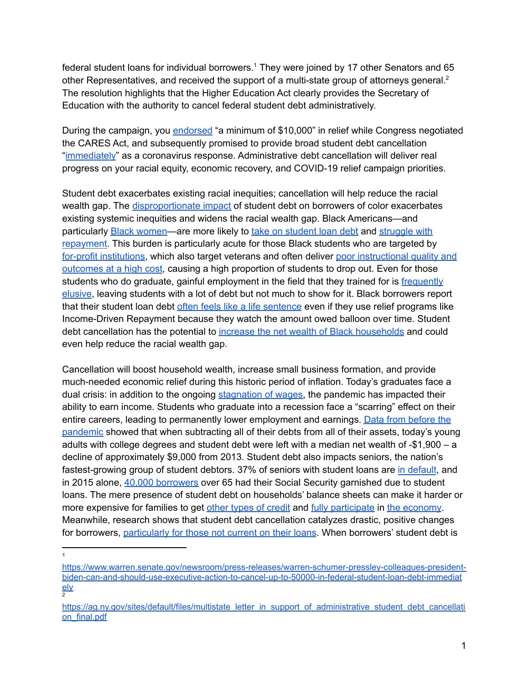federal student loans for individual borrowers. <sup>1</sup> They were joined by 17 other Senators and 65 other Representatives, and received the support of a multi-state group of attorneys general.<sup>2</sup> The resolution highlights that the Higher Education Act clearly provides the Secretary of Education with the authority to cancel federal student debt administratively.

During the campaign, you [endorsed](https://www.forbes.com/sites/zackfriedman/2020/03/23/student-loans-forgiveness-biden/?sh=735d28b172b2) "a minimum of \$10,000" in relief while Congress negotiated the CARES Act, and subsequently promised to provide broad student debt cancellation "[immediately](https://joebiden.com/racial-economic-equity/)" as a coronavirus response. Administrative debt cancellation will deliver real progress on your racial equity, economic recovery, and COVID-19 relief campaign priorities.

Student debt exacerbates existing racial inequities; cancellation will help reduce the racial wealth gap. The [disproportionate](https://www.responsiblelending.org/sites/default/files/nodes/files/research-publication/crl-quicksand-student-debt-crisis-jul2019.pdf) impact of student debt on borrowers of color exacerbates existing systemic inequities and widens the racial wealth gap. Black Americans—and particularly Black [women—](https://edtrust.org/wp-content/uploads/2014/09/How-Black-Women-Experience-Student-Debt-April-2022.pdf)are more likely to take on [student](https://www.brookings.edu/research/black-white-disparity-in-student-loan-debt-more-than-triples-after-graduation/) loan debt and [struggle](https://www.brookings.edu/research/the-looming-student-loan-default-crisis-is-worse-than-we-thought/) with [repayment.](https://www.brookings.edu/research/the-looming-student-loan-default-crisis-is-worse-than-we-thought/) This burden is particularly acute for those Black students who are targeted by for-profit [institutions,](https://ccrc.tc.columbia.edu/easyblog/shrinking-racial-gaps-student-debt-default-congress.html) which also target veterans and often deliver poor [instructional](https://www.responsiblelending.org/research-publication/state-profit-colleges) quality and [outcomes](https://www.responsiblelending.org/research-publication/state-profit-colleges) at a high cost, causing a high proportion of students to drop out. Even for those students who do graduate, gainful employment in the field that they trained for is [frequently](https://www.newyorkfed.org/medialibrary/media/research/staff_reports/sr811.pdf?la=en) [elusive](https://www.newyorkfed.org/medialibrary/media/research/staff_reports/sr811.pdf?la=en), leaving students with a lot of debt but not much to show for it. Black borrowers report that their student loan debt often feels like a life [sentence](https://edtrust.org/wp-content/uploads/2014/09/Jim-Crow-Debt_How-Black-Borrowers-Experience-Student-Loans_October-2021.pdf) even if they use relief programs like Income-Driven Repayment because they watch the amount owed balloon over time. Student debt cancellation has the potential to increase the net wealth of Black [households](https://www.warren.senate.gov/imo/media/doc/Eaton%20et%20al%20analysis_05.03.22.pdf) and could even help reduce the racial wealth gap.

Cancellation will boost household wealth, increase small business formation, and provide much-needed economic relief during this historic period of inflation. Today's graduates face a dual crisis: in addition to the ongoing [stagnation](https://www.teenvogue.com/story/over-the-last-decade-wages-stayed-the-same) of wages, the pandemic has impacted their ability to earn income. Students who graduate into a recession face a "scarring" effect on their entire careers, leading to permanently lower employment and earnings. Data from [before](https://younginvincibles.org/wp-content/uploads/2018/04/Financial-Health-of-Young-America-update.pdf) the [pandemic](https://younginvincibles.org/wp-content/uploads/2018/04/Financial-Health-of-Young-America-update.pdf) showed that when subtracting all of their debts from all of their assets, today's young adults with college degrees and student debt were left with a median net wealth of -\$1,900 – a decline of approximately \$9,000 from 2013. Student debt also impacts seniors, the nation's fastest-growing group of student debtors. 37% of seniors with student loans are in [default](https://www.aarp.org/money/credit-loans-debt/info-2019/student-loan-debt-report.html), and in 2015 alone, 40,000 [borrowers](https://files.consumerfinance.gov/f/documents/201701_cfpb_OA-Student-Loan-Snapshot.pdf) over 65 had their Social Security garnished due to student loans. The mere presence of student debt on households' balance sheets can make it harder or more expensive for families to get other types of [credit](https://protectborrowers.org/the-secret-price-of-student-debt-shows-why-we-need-a-student-debt-stimulus-for-everyone/) and fully [participate](https://hbswk.hbs.edu/item/forgiving-student-loan-debt-leads-to-better-jobs-stronger-consumers) in the [economy](http://www.levyinstitute.org/pubs/rpr_2_6.pdf). Meanwhile, research shows that student debt cancellation catalyzes drastic, positive changes for borrowers, [particularly](https://gflec.org/wp-content/uploads/2019/01/Student_Debt_Relief_draft-1.pdf?x70028) for those not current on their loans. When borrowers' student debt is

1

[ely](https://www.warren.senate.gov/newsroom/press-releases/warren-schumer-pressley-colleagues-president-biden-can-and-should-use-executive-action-to-cancel-up-to-50000-in-federal-student-loan-debt-immediately)<br>2 [https://www.warren.senate.gov/newsroom/press-releases/warren-schumer-pressley-colleagues-president](https://www.warren.senate.gov/newsroom/press-releases/warren-schumer-pressley-colleagues-president-biden-can-and-should-use-executive-action-to-cancel-up-to-50000-in-federal-student-loan-debt-immediately)[biden-can-and-should-use-executive-action-to-cancel-up-to-50000-in-federal-student-loan-debt-immediat](https://www.warren.senate.gov/newsroom/press-releases/warren-schumer-pressley-colleagues-president-biden-can-and-should-use-executive-action-to-cancel-up-to-50000-in-federal-student-loan-debt-immediately)

[https://ag.ny.gov/sites/default/files/multistate\\_letter\\_in\\_support\\_of\\_administrative\\_student\\_debt\\_cancellati](https://ag.ny.gov/sites/default/files/multistate_letter_in_support_of_administrative_student_debt_cancellation_final.pdf) [on\\_final.pdf](https://ag.ny.gov/sites/default/files/multistate_letter_in_support_of_administrative_student_debt_cancellation_final.pdf)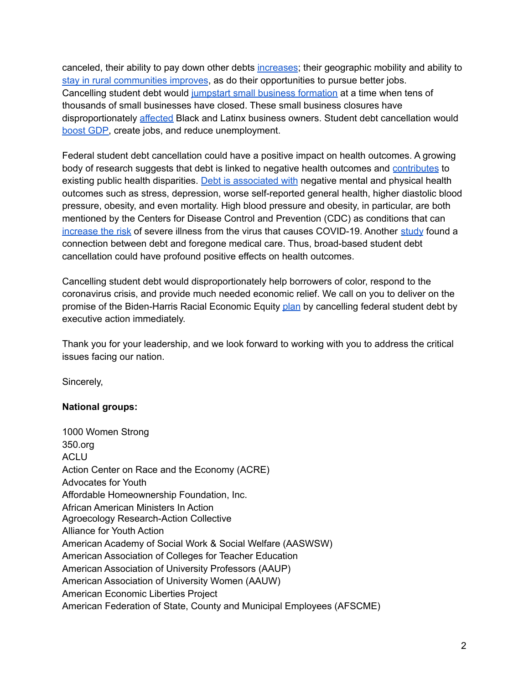canceled, their ability to pay down other debts [increases](https://gflec.org/wp-content/uploads/2019/01/Student_Debt_Relief_draft-1.pdf?x70028); their geographic mobility and ability to stay in rural [communities](https://www.federalreserve.gov/publications/2019-january-consumer-community-context.htm) improves, as do their opportunities to pursue better jobs. Cancelling student debt would jumpstart small business [formation](https://ssrn.com/abstract=2633951%20or%20http://dx.doi.org/10.2139/ssrn.2633951) at a time when tens of thousands of small businesses have closed. These small business closures have disproportionately [affected](https://siepr.stanford.edu/sites/default/files/publications/20-022.pdf) Black and Latinx business owners. Student debt cancellation would [boost](http://www.levyinstitute.org/pubs/rpr_2_6.pdf) GDP, create jobs, and reduce unemployment.

Federal student debt cancellation could have a positive impact on health outcomes. A growing body of research suggests that debt is linked to negative health outcomes and [contributes](https://www.responsiblelending.org/sites/default/files/nodes/files/research-publication/crl-civilrights-debtcollection-regf-sep2019.pdf) to existing public health disparities. Debt is [associated](https://pubmed.ncbi.nlm.nih.gov/23849243/) with negative mental and physical health outcomes such as stress, depression, worse self-reported general health, higher diastolic blood pressure, obesity, and even mortality. High blood pressure and obesity, in particular, are both mentioned by the Centers for Disease Control and Prevention (CDC) as conditions that can [increase](https://www.cdc.gov/coronavirus/2019-ncov/need-extra-precautions/people-with-medical-conditions.html) the risk of severe illness from the virus that causes COVID-19. Another [study](https://journals.sagepub.com/doi/full/10.1177/0022146513483772) found a connection between debt and foregone medical care. Thus, broad-based student debt cancellation could have profound positive effects on health outcomes.

Cancelling student debt would disproportionately help borrowers of color, respond to the coronavirus crisis, and provide much needed economic relief. We call on you to deliver on the promise of the Biden-Harris Racial Economic Equity [plan](https://joebiden.com/racial-economic-equity/) by cancelling federal student debt by executive action immediately.

Thank you for your leadership, and we look forward to working with you to address the critical issues facing our nation.

Sincerely,

## **National groups:**

1000 Women Strong 350.org ACLU Action Center on Race and the Economy (ACRE) Advocates for Youth Affordable Homeownership Foundation, Inc. African American Ministers In Action Agroecology Research-Action Collective Alliance for Youth Action American Academy of Social Work & Social Welfare (AASWSW) American Association of Colleges for Teacher Education American Association of University Professors (AAUP) American Association of University Women (AAUW) American Economic Liberties Project American Federation of State, County and Municipal Employees (AFSCME)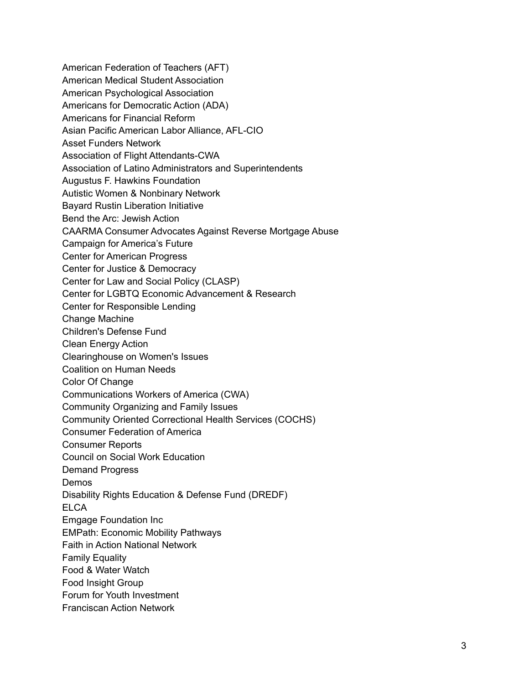American Federation of Teachers (AFT) American Medical Student Association American Psychological Association Americans for Democratic Action (ADA) Americans for Financial Reform Asian Pacific American Labor Alliance, AFL-CIO Asset Funders Network Association of Flight Attendants-CWA Association of Latino Administrators and Superintendents Augustus F. Hawkins Foundation Autistic Women & Nonbinary Network Bayard Rustin Liberation Initiative Bend the Arc: Jewish Action CAARMA Consumer Advocates Against Reverse Mortgage Abuse Campaign for America's Future Center for American Progress Center for Justice & Democracy Center for Law and Social Policy (CLASP) Center for LGBTQ Economic Advancement & Research Center for Responsible Lending Change Machine Children's Defense Fund Clean Energy Action Clearinghouse on Women's Issues Coalition on Human Needs Color Of Change Communications Workers of America (CWA) Community Organizing and Family Issues Community Oriented Correctional Health Services (COCHS) Consumer Federation of America Consumer Reports Council on Social Work Education Demand Progress Demos Disability Rights Education & Defense Fund (DREDF) **ELCA** Emgage Foundation Inc EMPath: Economic Mobility Pathways Faith in Action National Network Family Equality Food & Water Watch Food Insight Group Forum for Youth Investment Franciscan Action Network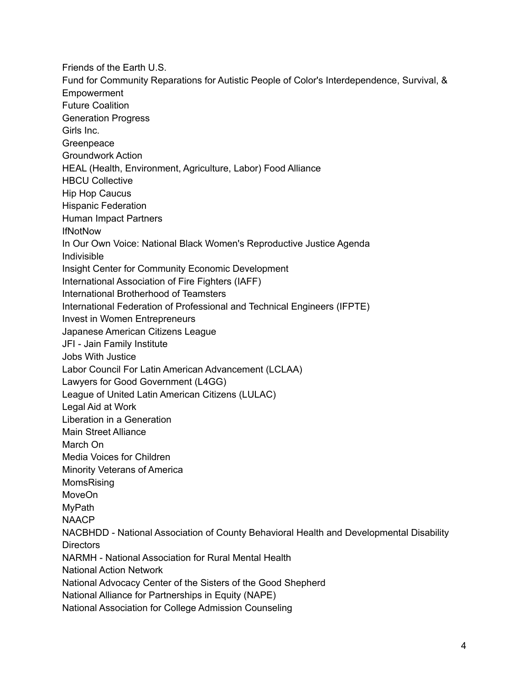Friends of the Earth U.S. Fund for Community Reparations for Autistic People of Color's Interdependence, Survival, & Empowerment Future Coalition Generation Progress Girls Inc. Greenpeace Groundwork Action HEAL (Health, Environment, Agriculture, Labor) Food Alliance HBCU Collective Hip Hop Caucus Hispanic Federation Human Impact Partners **IfNotNow** In Our Own Voice: National Black Women's Reproductive Justice Agenda Indivisible Insight Center for Community Economic Development International Association of Fire Fighters (IAFF) International Brotherhood of Teamsters International Federation of Professional and Technical Engineers (IFPTE) Invest in Women Entrepreneurs Japanese American Citizens League JFI - Jain Family Institute Jobs With Justice Labor Council For Latin American Advancement (LCLAA) Lawyers for Good Government (L4GG) League of United Latin American Citizens (LULAC) Legal Aid at Work Liberation in a Generation Main Street Alliance March On Media Voices for Children Minority Veterans of America MomsRising MoveOn MyPath NAACP NACBHDD - National Association of County Behavioral Health and Developmental Disability **Directors** NARMH - National Association for Rural Mental Health National Action Network National Advocacy Center of the Sisters of the Good Shepherd National Alliance for Partnerships in Equity (NAPE) National Association for College Admission Counseling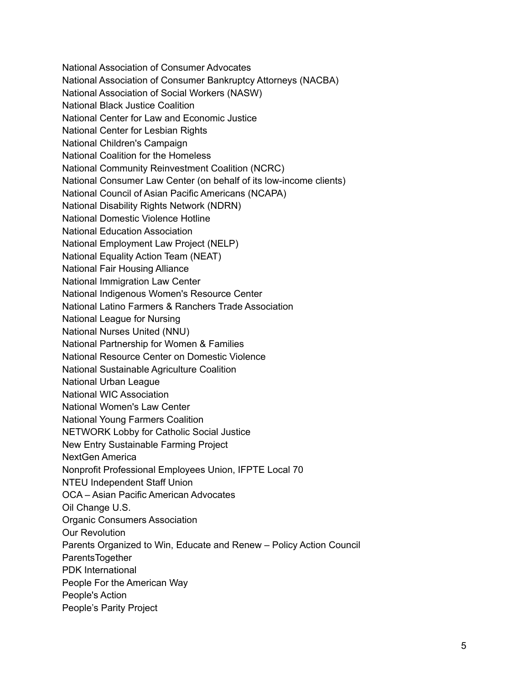National Association of Consumer Advocates National Association of Consumer Bankruptcy Attorneys (NACBA) National Association of Social Workers (NASW) National Black Justice Coalition National Center for Law and Economic Justice National Center for Lesbian Rights National Children's Campaign National Coalition for the Homeless National Community Reinvestment Coalition (NCRC) National Consumer Law Center (on behalf of its low-income clients) National Council of Asian Pacific Americans (NCAPA) National Disability Rights Network (NDRN) National Domestic Violence Hotline National Education Association National Employment Law Project (NELP) National Equality Action Team (NEAT) National Fair Housing Alliance National Immigration Law Center National Indigenous Women's Resource Center National Latino Farmers & Ranchers Trade Association National League for Nursing National Nurses United (NNU) National Partnership for Women & Families National Resource Center on Domestic Violence National Sustainable Agriculture Coalition National Urban League National WIC Association National Women's Law Center National Young Farmers Coalition NETWORK Lobby for Catholic Social Justice New Entry Sustainable Farming Project NextGen America Nonprofit Professional Employees Union, IFPTE Local 70 NTEU Independent Staff Union OCA – Asian Pacific American Advocates Oil Change U.S. Organic Consumers Association Our Revolution Parents Organized to Win, Educate and Renew – Policy Action Council **ParentsTogether** PDK International People For the American Way People's Action People's Parity Project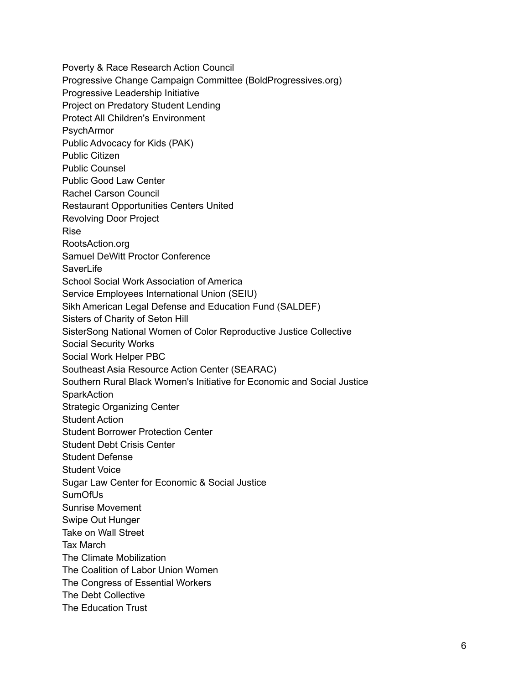Poverty & Race Research Action Council Progressive Change Campaign Committee (BoldProgressives.org) Progressive Leadership Initiative Project on Predatory Student Lending Protect All Children's Environment PsychArmor Public Advocacy for Kids (PAK) Public Citizen Public Counsel Public Good Law Center Rachel Carson Council Restaurant Opportunities Centers United Revolving Door Project Rise RootsAction.org Samuel DeWitt Proctor Conference **SaverLife** School Social Work Association of America Service Employees International Union (SEIU) Sikh American Legal Defense and Education Fund (SALDEF) Sisters of Charity of Seton Hill SisterSong National Women of Color Reproductive Justice Collective Social Security Works Social Work Helper PBC Southeast Asia Resource Action Center (SEARAC) Southern Rural Black Women's Initiative for Economic and Social Justice **SparkAction** Strategic Organizing Center Student Action Student Borrower Protection Center Student Debt Crisis Center Student Defense Student Voice Sugar Law Center for Economic & Social Justice **SumOfUs** Sunrise Movement Swipe Out Hunger Take on Wall Street Tax March The Climate Mobilization The Coalition of Labor Union Women The Congress of Essential Workers The Debt Collective The Education Trust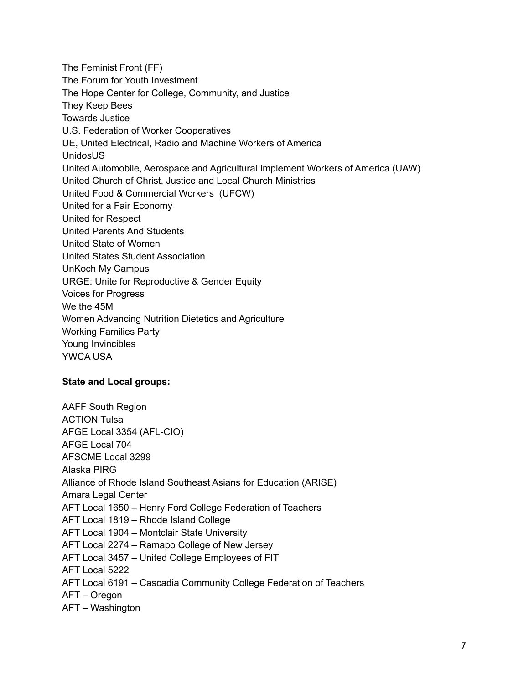The Feminist Front (FF) The Forum for Youth Investment The Hope Center for College, Community, and Justice They Keep Bees Towards Justice U.S. Federation of Worker Cooperatives UE, United Electrical, Radio and Machine Workers of America UnidosUS United Automobile, Aerospace and Agricultural Implement Workers of America (UAW) United Church of Christ, Justice and Local Church Ministries United Food & Commercial Workers (UFCW) United for a Fair Economy United for Respect United Parents And Students United State of Women United States Student Association UnKoch My Campus URGE: Unite for Reproductive & Gender Equity Voices for Progress We the 45M Women Advancing Nutrition Dietetics and Agriculture Working Families Party Young Invincibles YWCA USA

## **State and Local groups:**

AAFF South Region ACTION Tulsa AFGE Local 3354 (AFL-CIO) AFGE Local 704 AFSCME Local 3299 Alaska PIRG Alliance of Rhode Island Southeast Asians for Education (ARISE) Amara Legal Center AFT Local 1650 – Henry Ford College Federation of Teachers AFT Local 1819 – Rhode Island College AFT Local 1904 – Montclair State University AFT Local 2274 – Ramapo College of New Jersey AFT Local 3457 – United College Employees of FIT AFT Local 5222 AFT Local 6191 – Cascadia Community College Federation of Teachers AFT – Oregon AFT – Washington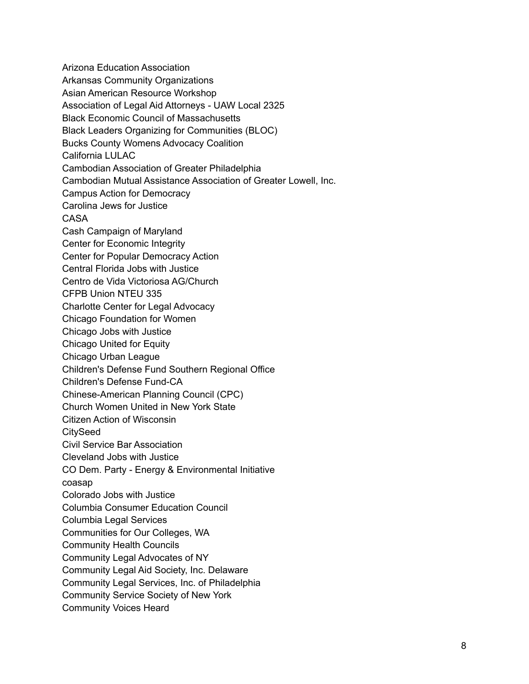Arizona Education Association Arkansas Community Organizations Asian American Resource Workshop Association of Legal Aid Attorneys - UAW Local 2325 Black Economic Council of Massachusetts Black Leaders Organizing for Communities (BLOC) Bucks County Womens Advocacy Coalition California LULAC Cambodian Association of Greater Philadelphia Cambodian Mutual Assistance Association of Greater Lowell, Inc. Campus Action for Democracy Carolina Jews for Justice CASA Cash Campaign of Maryland Center for Economic Integrity Center for Popular Democracy Action Central Florida Jobs with Justice Centro de Vida Victoriosa AG/Church CFPB Union NTEU 335 Charlotte Center for Legal Advocacy Chicago Foundation for Women Chicago Jobs with Justice Chicago United for Equity Chicago Urban League Children's Defense Fund Southern Regional Office Children's Defense Fund-CA Chinese-American Planning Council (CPC) Church Women United in New York State Citizen Action of Wisconsin **CitySeed** Civil Service Bar Association Cleveland Jobs with Justice CO Dem. Party - Energy & Environmental Initiative coasap Colorado Jobs with Justice Columbia Consumer Education Council Columbia Legal Services Communities for Our Colleges, WA Community Health Councils Community Legal Advocates of NY Community Legal Aid Society, Inc. Delaware Community Legal Services, Inc. of Philadelphia Community Service Society of New York Community Voices Heard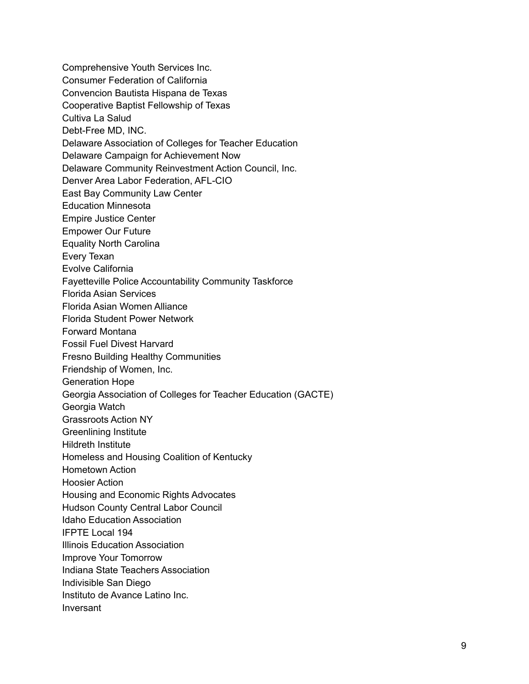Comprehensive Youth Services Inc. Consumer Federation of California Convencion Bautista Hispana de Texas Cooperative Baptist Fellowship of Texas Cultiva La Salud Debt-Free MD, INC. Delaware Association of Colleges for Teacher Education Delaware Campaign for Achievement Now Delaware Community Reinvestment Action Council, Inc. Denver Area Labor Federation, AFL-CIO East Bay Community Law Center Education Minnesota Empire Justice Center Empower Our Future Equality North Carolina Every Texan Evolve California Fayetteville Police Accountability Community Taskforce Florida Asian Services Florida Asian Women Alliance Florida Student Power Network Forward Montana Fossil Fuel Divest Harvard Fresno Building Healthy Communities Friendship of Women, Inc. Generation Hope Georgia Association of Colleges for Teacher Education (GACTE) Georgia Watch Grassroots Action NY Greenlining Institute Hildreth Institute Homeless and Housing Coalition of Kentucky Hometown Action Hoosier Action Housing and Economic Rights Advocates Hudson County Central Labor Council Idaho Education Association IFPTE Local 194 Illinois Education Association Improve Your Tomorrow Indiana State Teachers Association Indivisible San Diego Instituto de Avance Latino Inc. Inversant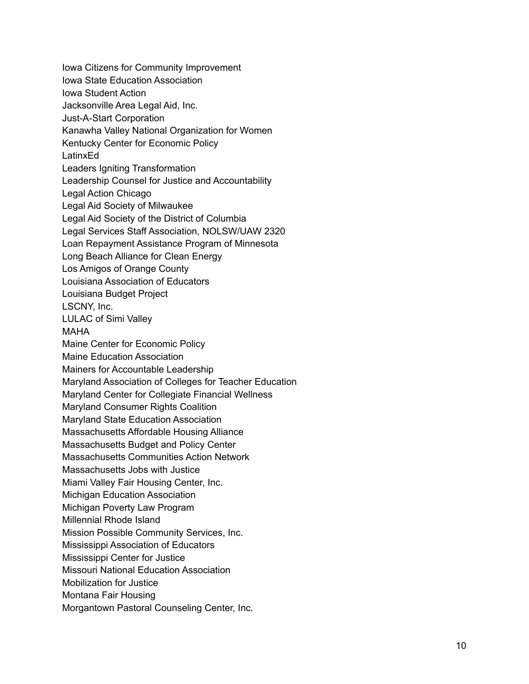Iowa Citizens for Community Improvement Iowa State Education Association Iowa Student Action Jacksonville Area Legal Aid, Inc. Just-A-Start Corporation Kanawha Valley National Organization for Women Kentucky Center for Economic Policy LatinxEd Leaders Igniting Transformation Leadership Counsel for Justice and Accountability Legal Action Chicago Legal Aid Society of Milwaukee Legal Aid Society of the District of Columbia Legal Services Staff Association, NOLSW/UAW 2320 Loan Repayment Assistance Program of Minnesota Long Beach Alliance for Clean Energy Los Amigos of Orange County Louisiana Association of Educators Louisiana Budget Project LSCNY, Inc. LULAC of Simi Valle y M A H A Maine Center for Economic Policy Maine Education Association Mainers for Accountable Leadership Maryland Association of Colleges for Teacher Education Maryland Center for Collegiate Financial Wellness Maryland Consumer Rights Coalition Maryland State Education Association Massachusetts Affordable Housing Alliance Massachusetts Budget and Policy Center Massachusetts Communities Action Network Massachusetts Jobs with Justice Miami Valley Fair Housing Center, Inc. Michigan Education Association Michigan Poverty Law Program Millennial Rhode Island Mission Possible Community Services, In c. Mississippi Association of Educators Mississippi Center for Justice Missouri National Education Association Mobilization for Justice Montana Fair Housing Morgantown Pastoral Counseling Center, In c.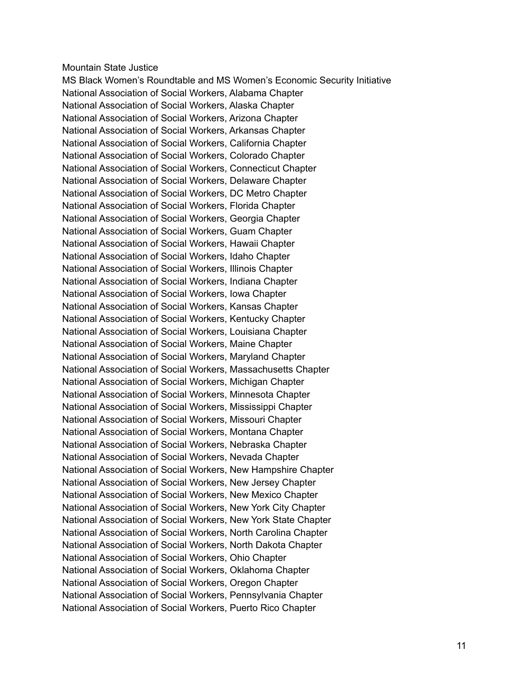## Mountain State Justice

MS Black Women's Roundtable and MS Women's Economic Security Initiative National Association of Social Workers, Alabama Chapter National Association of Social Workers, Alaska Chapter National Association of Social Workers, Arizona Chapter National Association of Social Workers, Arkansas Chapter National Association of Social Workers, California Chapter National Association of Social Workers, Colorado Chapter National Association of Social Workers, Connecticut Chapter National Association of Social Workers, Delaware Chapter National Association of Social Workers, DC Metro Chapter National Association of Social Workers, Florida Chapter National Association of Social Workers, Georgia Chapter National Association of Social Workers, Guam Chapter National Association of Social Workers, Hawaii Chapter National Association of Social Workers, Idaho Chapter National Association of Social Workers, Illinois Chapter National Association of Social Workers, Indiana Chapter National Association of Social Workers, Iowa Chapter National Association of Social Workers, Kansas Chapter National Association of Social Workers, Kentucky Chapter National Association of Social Workers, Louisiana Chapter National Association of Social Workers, Maine Chapter National Association of Social Workers, Maryland Chapter National Association of Social Workers, Massachusetts Chapter National Association of Social Workers, Michigan Chapter National Association of Social Workers, Minnesota Chapter National Association of Social Workers, Mississippi Chapter National Association of Social Workers, Missouri Chapter National Association of Social Workers, Montana Chapter National Association of Social Workers, Nebraska Chapter National Association of Social Workers, Nevada Chapter National Association of Social Workers, New Hampshire Chapter National Association of Social Workers, New Jersey Chapter National Association of Social Workers, New Mexico Chapter National Association of Social Workers, New York City Chapter National Association of Social Workers, New York State Chapter National Association of Social Workers, North Carolina Chapter National Association of Social Workers, North Dakota Chapter National Association of Social Workers, Ohio Chapter National Association of Social Workers, Oklahoma Chapter National Association of Social Workers, Oregon Chapter National Association of Social Workers, Pennsylvania Chapter National Association of Social Workers, Puerto Rico Chapter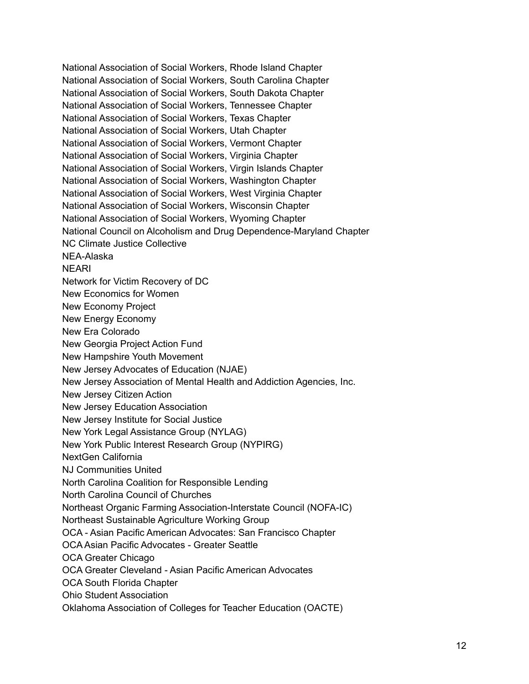National Association of Social Workers, Rhode Island Chapter National Association of Social Workers, South Carolina Chapter National Association of Social Workers, South Dakota Chapter National Association of Social Workers, Tennessee Chapter National Association of Social Workers, Texas Chapter National Association of Social Workers, Utah Chapter National Association of Social Workers, Vermont Chapter National Association of Social Workers, Virginia Chapter National Association of Social Workers, Virgin Islands Chapter National Association of Social Workers, Washington Chapter National Association of Social Workers, West Virginia Chapter National Association of Social Workers, Wisconsin Chapter National Association of Social Workers, Wyoming Chapter National Council on Alcoholism and Drug Dependence-Maryland Chapter NC Climate Justice Collective NEA-Alaska NEARI Network for Victim Recovery of DC New Economics for Women New Economy Project New Energy Economy New Era Colorado New Georgia Project Action Fund New Hampshire Youth Movement New Jersey Advocates of Education (NJAE) New Jersey Association of Mental Health and Addiction Agencies, Inc. New Jersey Citizen Action New Jersey Education Association New Jersey Institute for Social Justice New York Legal Assistance Group (NYLAG) New York Public Interest Research Group (NYPIRG) NextGen California NJ Communities United North Carolina Coalition for Responsible Lending North Carolina Council of Churches Northeast Organic Farming Association-Interstate Council (NOFA-IC) Northeast Sustainable Agriculture Working Group OCA - Asian Pacific American Advocates: San Francisco Chapter OCA Asian Pacific Advocates - Greater Seattle OCA Greater Chicago OCA Greater Cleveland - Asian Pacific American Advocates OCA South Florida Chapter Ohio Student Association Oklahoma Association of Colleges for Teacher Education (OACTE)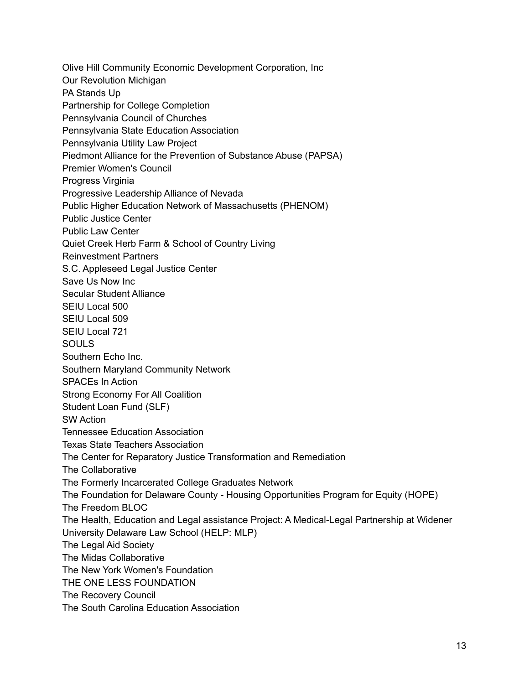Olive Hill Community Economic Development Corporation, Inc Our Revolution Michigan PA Stands Up Partnership for College Completion Pennsylvania Council of Churches Pennsylvania State Education Association Pennsylvania Utility Law Project Piedmont Alliance for the Prevention of Substance Abuse (PAPSA) Premier Women's Council Progress Virginia Progressive Leadership Alliance of Nevada Public Higher Education Network of Massachusetts (PHENOM) Public Justice Center Public Law Center Quiet Creek Herb Farm & School of Country Living Reinvestment Partners S.C. Appleseed Legal Justice Center Save Us Now Inc Secular Student Alliance SEIU Local 500 SEIU Local 509 SEIU Local 721 SOULS Southern Echo Inc. Southern Maryland Community Network SPACEs In Action Strong Economy For All Coalition Student Loan Fund (SLF) SW Action Tennessee Education Association Texas State Teachers Association The Center for Reparatory Justice Transformation and Remediation The Collaborative The Formerly Incarcerated College Graduates Network The Foundation for Delaware County - Housing Opportunities Program for Equity (HOPE) The Freedom BLOC The Health, Education and Legal assistance Project: A Medical-Legal Partnership at Widener University Delaware Law School (HELP: MLP) The Legal Aid Society The Midas Collaborative The New York Women's Foundation THE ONE LESS FOUNDATION The Recovery Council The South Carolina Education Association